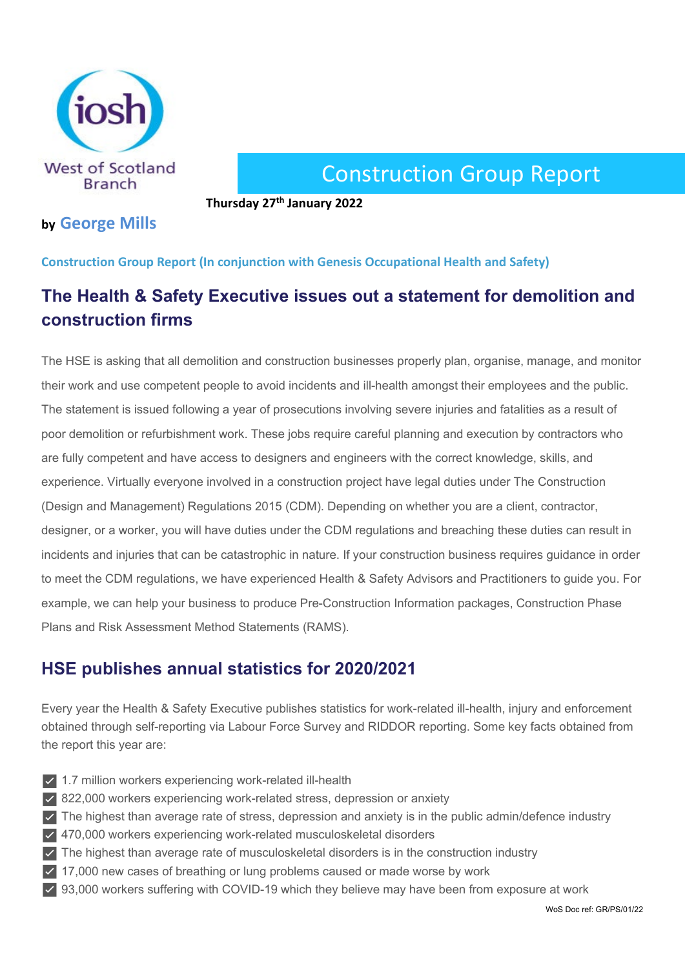

# Construction Group Report

**Thursday 27th January 2022**

### **by George Mills**

#### **Construction Group Report (In conjunction with Genesis Occupational Health and Safety)**

# **The Health & Safety Executive issues out a statement for demolition and construction firms**

The HSE is asking that all demolition and construction businesses properly plan, organise, manage, and monitor their work and use competent people to avoid incidents and ill-health amongst their employees and the public. The statement is issued following a year of prosecutions involving severe injuries and fatalities as a result of poor demolition or refurbishment work. These jobs require careful planning and execution by contractors who are fully competent and have access to designers and engineers with the correct knowledge, skills, and experience. Virtually everyone involved in a construction project have legal duties under The Construction (Design and Management) Regulations 2015 (CDM). Depending on whether you are a client, contractor, designer, or a worker, you will have duties under the CDM regulations and breaching these duties can result in incidents and injuries that can be catastrophic in nature. If your construction business requires guidance in order to meet the CDM regulations, we have experienced Health & Safety Advisors and Practitioners to guide you. For example, we can help your business to produce Pre-Construction Information packages, Construction Phase Plans and Risk Assessment Method Statements (RAMS).

## **HSE publishes annual statistics for 2020/2021**

Every year the Health & Safety Executive publishes statistics for work-related ill-health, injury and enforcement obtained through self-reporting via Labour Force Survey and RIDDOR reporting. Some key facts obtained from the report this year are:

- ✅ 1.7 million workers experiencing work-related ill-health
- ✅ 822,000 workers experiencing work-related stress, depression or anxiety
- ✅ The highest than average rate of stress, depression and anxiety is in the public admin/defence industry
- ✅ 470,000 workers experiencing work-related musculoskeletal disorders
- $\vee$  The highest than average rate of musculoskeletal disorders is in the construction industry
- ✅ 17,000 new cases of breathing or lung problems caused or made worse by work
- ✅ 93,000 workers suffering with COVID-19 which they believe may have been from exposure at work